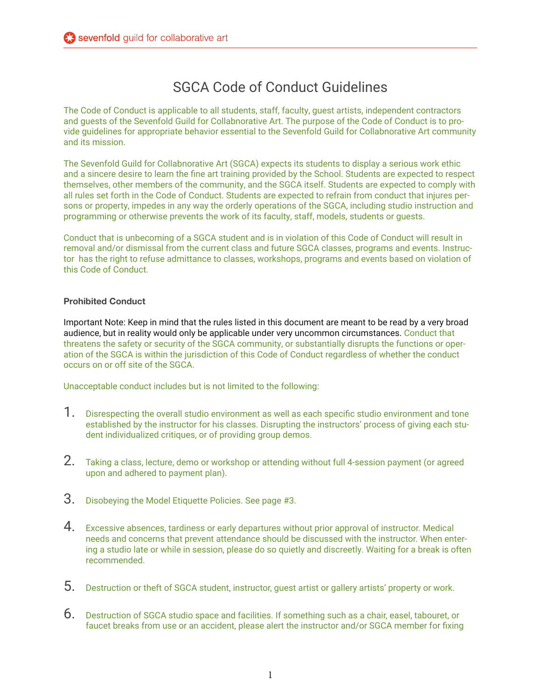## SGCA Code of Conduct Guidelines

The Code of Conduct is applicable to all students, staff, faculty, guest artists, independent contractors and guests of the Sevenfold Guild for Collabnorative Art. The purpose of the Code of Conduct is to provide guidelines for appropriate behavior essential to the Sevenfold Guild for Collabnorative Art community and its mission.

The Sevenfold Guild for Collabnorative Art (SGCA) expects its students to display a serious work ethic and a sincere desire to learn the fine art training provided by the School. Students are expected to respect themselves, other members of the community, and the SGCA itself. Students are expected to comply with all rules set forth in the Code of Conduct. Students are expected to refrain from conduct that injures persons or property, impedes in any way the orderly operations of the SGCA, including studio instruction and programming or otherwise prevents the work of its faculty, staff, models, students or guests.

Conduct that is unbecoming of a SGCA student and is in violation of this Code of Conduct will result in removal and/or dismissal from the current class and future SGCA classes, programs and events. Instructor has the right to refuse admittance to classes, workshops, programs and events based on violation of this Code of Conduct.

## **Prohibited Conduct**

Important Note: Keep in mind that the rules listed in this document are meant to be read by a very broad audience, but in reality would only be applicable under very uncommon circumstances. Conduct that threatens the safety or security of the SGCA community, or substantially disrupts the functions or operation of the SGCA is within the jurisdiction of this Code of Conduct regardless of whether the conduct occurs on or off site of the SGCA.

Unacceptable conduct includes but is not limited to the following:

- 1. Disrespecting the overall studio environment as well as each specific studio environment and tone established by the instructor for his classes. Disrupting the instructors' process of giving each student individualized critiques, or of providing group demos.
- 2. Taking a class, lecture, demo or workshop or attending without full 4-session payment (or agreed upon and adhered to payment plan).
- 3. Disobeying the Model Etiquette Policies. See page #3.
- $4.$  Excessive absences, tardiness or early departures without prior approval of instructor. Medical needs and concerns that prevent attendance should be discussed with the instructor. When entering a studio late or while in session, please do so quietly and discreetly. Waiting for a break is often recommended.
- 5. Destruction or theft of SGCA student, instructor, guest artist or gallery artists' property or work.
- 6. Destruction of SGCA studio space and facilities. If something such as a chair, easel, tabouret, or faucet breaks from use or an accident, please alert the instructor and/or SGCA member for fixing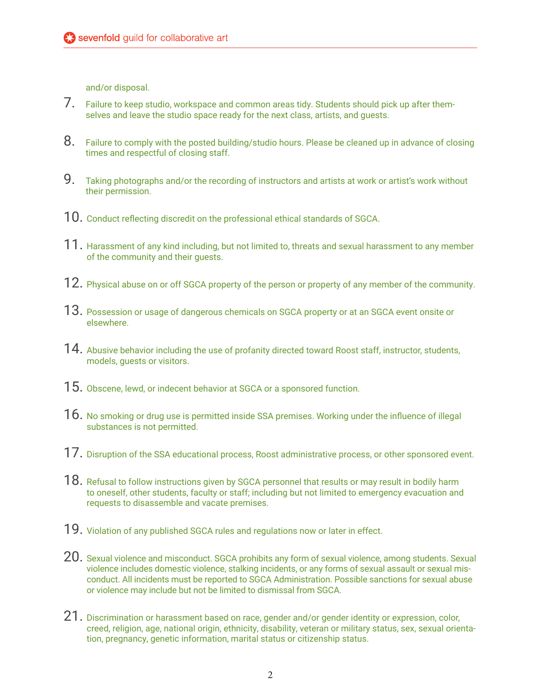and/or disposal.

- 7. Failure to keep studio, workspace and common areas tidy. Students should pick up after themselves and leave the studio space ready for the next class, artists, and guests.
- 8. Failure to comply with the posted building/studio hours. Please be cleaned up in advance of closing times and respectful of closing staff.
- 9. Taking photographs and/or the recording of instructors and artists at work or artist's work without their permission.
- 10. Conduct reflecting discredit on the professional ethical standards of SGCA.
- $11.$  Harassment of any kind including, but not limited to, threats and sexual harassment to any member of the community and their guests.
- 12. Physical abuse on or off SGCA property of the person or property of any member of the community.
- $13.$  Possession or usage of dangerous chemicals on SGCA property or at an SGCA event onsite or elsewhere.
- 14. Abusive behavior including the use of profanity directed toward Roost staff, instructor, students, models, guests or visitors.
- 15. Obscene, lewd, or indecent behavior at SGCA or a sponsored function.
- $16.$  No smoking or drug use is permitted inside SSA premises. Working under the influence of illegal substances is not permitted.
- 17. Disruption of the SSA educational process, Roost administrative process, or other sponsored event.
- $18.$  Refusal to follow instructions given by SGCA personnel that results or may result in bodily harm to oneself, other students, faculty or staff; including but not limited to emergency evacuation and requests to disassemble and vacate premises.
- 19. Violation of any published SGCA rules and regulations now or later in effect.
- 20. Sexual violence and misconduct. SGCA prohibits any form of sexual violence, among students. Sexual violence includes domestic violence, stalking incidents, or any forms of sexual assault or sexual misconduct. All incidents must be reported to SGCA Administration. Possible sanctions for sexual abuse or violence may include but not be limited to dismissal from SGCA.
- $21.$  Discrimination or harassment based on race, gender and/or gender identity or expression, color, creed, religion, age, national origin, ethnicity, disability, veteran or military status, sex, sexual orientation, pregnancy, genetic information, marital status or citizenship status.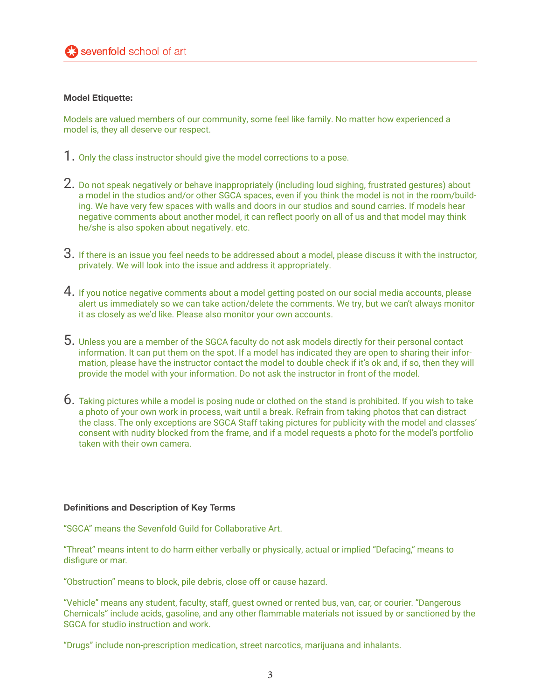## **Model Etiquette:**

Models are valued members of our community, some feel like family. No matter how experienced a model is, they all deserve our respect.

- 1. Only the class instructor should give the model corrections to a pose.
- 2. Do not speak negatively or behave inappropriately (including loud sighing, frustrated gestures) about a model in the studios and/or other SGCA spaces, even if you think the model is not in the room/building. We have very few spaces with walls and doors in our studios and sound carries. If models hear negative comments about another model, it can reflect poorly on all of us and that model may think he/she is also spoken about negatively. etc.
- $3.$  If there is an issue you feel needs to be addressed about a model, please discuss it with the instructor, privately. We will look into the issue and address it appropriately.
- 4. If you notice negative comments about a model getting posted on our social media accounts, please alert us immediately so we can take action/delete the comments. We try, but we can't always monitor it as closely as we'd like. Please also monitor your own accounts.
- 5. Unless you are a member of the SGCA faculty do not ask models directly for their personal contact information. It can put them on the spot. If a model has indicated they are open to sharing their information, please have the instructor contact the model to double check if it's ok and, if so, then they will provide the model with your information. Do not ask the instructor in front of the model.
- 6. Taking pictures while a model is posing nude or clothed on the stand is prohibited. If you wish to take a photo of your own work in process, wait until a break. Refrain from taking photos that can distract the class. The only exceptions are SGCA Staff taking pictures for publicity with the model and classes' consent with nudity blocked from the frame, and if a model requests a photo for the model's portfolio taken with their own camera.

## **Definitions and Description of Key Terms**

"SGCA" means the Sevenfold Guild for Collaborative Art.

"Threat" means intent to do harm either verbally or physically, actual or implied "Defacing," means to disfigure or mar.

"Obstruction" means to block, pile debris, close off or cause hazard.

"Vehicle" means any student, faculty, staff, guest owned or rented bus, van, car, or courier. "Dangerous Chemicals" include acids, gasoline, and any other flammable materials not issued by or sanctioned by the SGCA for studio instruction and work.

"Drugs" include non-prescription medication, street narcotics, marijuana and inhalants.